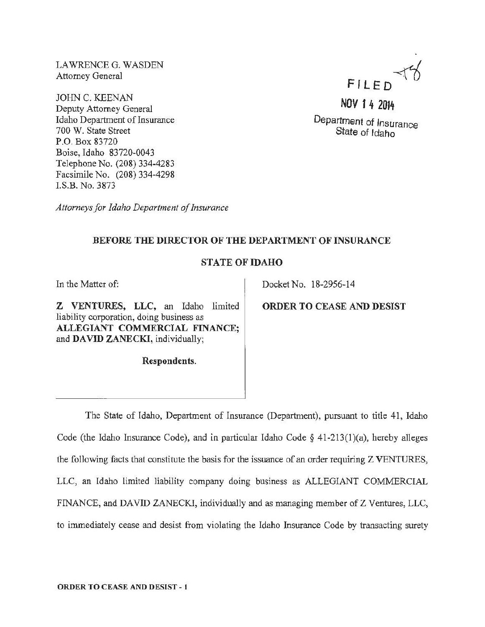LAWRENCE G. WASDEN Attorney General

JOHN C. KEENAN Deputy Attorney General Idaho Department of Insurance 700 W. State Street P.O. Box 83720 Boise, Idaho 83720-0043 Telephone No. (208) 334-4283 Facsimile No. (208) 334-4298 I.S.B. No. 3873

FILED

NOV 1 4 2014

Department of Insurance State of Idaho

*Attorneys for Idaho Department of Insurance* 

## BEFORE THE DIRECTOR OF THE DEPARTMENT OF INSURANCE

## STATE OF IDAHO

In the Matter of:

Z VENTURES, LLC, an Idaho limited liability corporation, doing business as ALLEGIANT COMMERCIAL FINANCE; and DAVID ZANECKI, individually;

Respondents.

Docket No. 18-2956-14

ORDER TO CEASE AND DESIST

The State of Idaho, Department of Insurance (Department), pursuant to title 41, Idaho Code (the Idaho Insurance Code), and in particular Idaho Code *§* 41-213(1 )(a), hereby alleges the following facts that constitute the basis for the issuance of an order requiring Z VENTURES, LLC, an Idaho limited liability company doing business as ALLEGIANT COMMERCIAL FfNANCE, and DAVID ZANECKl, individually and as managing member of Z Ventures, LLC, to immediately cease and desist from violating the Idaho Insurance Code by transacting surety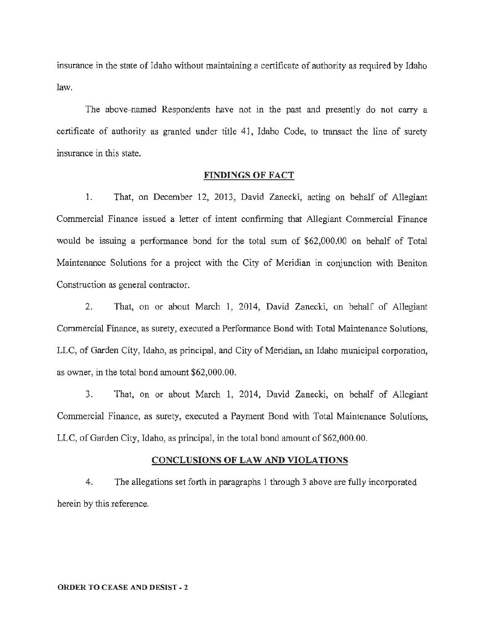insurance in the state of Idaho without maintaining a certificate of authority as required by Idaho law.

The above-named Respondents have not in the past and presently do not carry a certificate of authority as granted under title 41, Idaho Code, to transact the line of surety insurance in this state.

### FINDINGS OF FACT

1. That, on December 12, 2013, David Zanecki, acting on behalf of Allegiant Commercial Finance issued a letter of intent confirming that Allegiant Commercial Finance would be issuing a performance bond for the total sum of \$62,000.00 on behalf of Total Maintenance Solutions for a project with the City of Meridian in conjunction with Beniton Construction as general contractor.

2. That, on or about March 1, 2014, David Zanecki, on behalf of Allegiant Commercial Finance, as surety, executed a Performance Bond with Total Maintenance Solutions, LLC, of Garden City, Idaho, as principal, and City of Meridian, an Idaho municipal corporation, as owner, in the total bond amount \$62,000.00.

3. That, on or about March 1, 2014, David Zanecki, on behalf of Allegiant Commercial Finance, as surety, executed a Payment Bond with Total Maintenance Solutions, LLC, of Garden City, Idaho, as principal, in the total bond amount of \$62,000.00.

## CONCLUSIONS OF LAW AND VIOLATIONS

4. The allegations set forth in paragraphs 1 through 3 above are fully incorporated herein by this reference.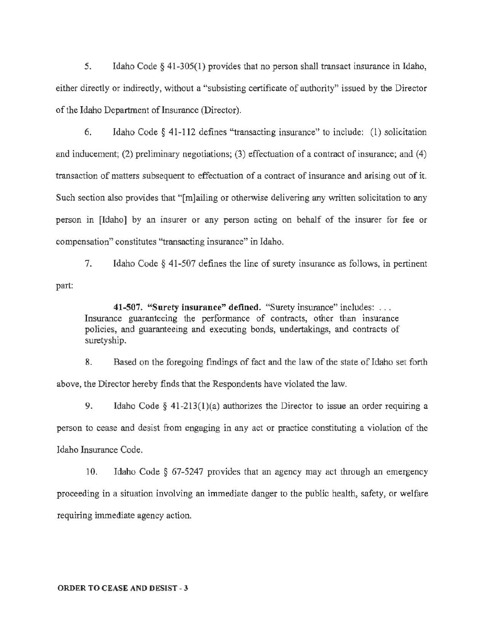5. Idaho Code § 41-305(1) provides that no person shall transact insurance in Idaho, either directly or indirectly, without a "subsisting certificate of authority" issued by the Director of the Idaho Department of Insurance (Director).

6. Idaho Code § 41-112 defines "transacting insurance" to include: (1) solicitation and inducement; (2) preliminary negotiations; (3) effectuation of a contract of insurance; and (4) transaction of matters subsequent to effectuation of a contract of insurance and arising out of it. Such section also provides that "[m]ailing or otherwise delivering any written solicitation to any person in [Idaho] by an insurer or any person acting on behalf of the insurer for fee or compensation" constitutes "transacting insurance" in Idaho.

part: 7. Idaho Code § 41-507 defines the line of surety insurance as follows, in pertinent

41-507. "Surety insurance" defined. "Surety insurance" includes: ... Insurance guaranteeing the performance of contracts, other than insurance policies, and guaranteeing and executing bonds, undertakings, and contracts of suretyship.

8. Based on the foregoing findings of fact and the law of the state of Idaho set forth above, the Director hereby finds that the Respondents have violated the law.

9. Idaho Code § 41-213(1)(a) authorizes the Director to issue an order requiring a person to cease and desist from engaging in any act or practice constituting a violation of the Idaho Insurance Code.

10. Idaho Code § 67-5247 provides that an agency may act through an emergency proceeding in a situation involving an immediate danger to the public health, safety, or welfare requiring immediate agency action.

#### ORDER TO CEASE AND DESIST- 3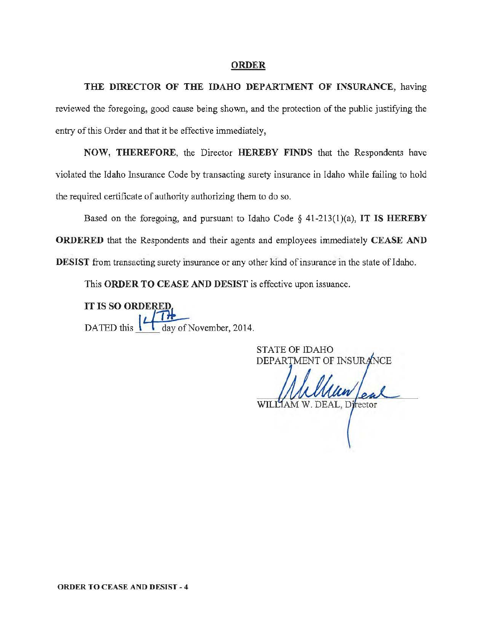### ORDER

THE DIRECTOR OF THE IDAHO DEPARTMENT OF INSURANCE, having reviewed the foregoing, good cause being shown, and the protection of the public justifying the entry of this Order and that it be effective immediately,

NOW, THEREFORE, the Director HEREBY FINDS that the Respondents have violated the Idaho Insurance Code by transacting surety insurance in Idaho while failing to hold the required certificate of authority authorizing them to do so.

Based on the foregoing, and pursuant to Idaho Code *§* 41-213(1)(a), IT IS HEREBY ORDERED that the Respondents and their agents and employees immediately CEASE AND DESIST from transacting surety insurance or any other kind of insurance in the state of Idaho.

This ORDER TO CEASE AND DESIST is effective upon issuance.

**IT IS SO ORDERED.** DATED this  $\left| \frac{1}{\frac{1}{2}} \right|$  day of November, 2014.

STATE OF IDAHO DEPARTMENT OF INSURANCE W. DEAL, Director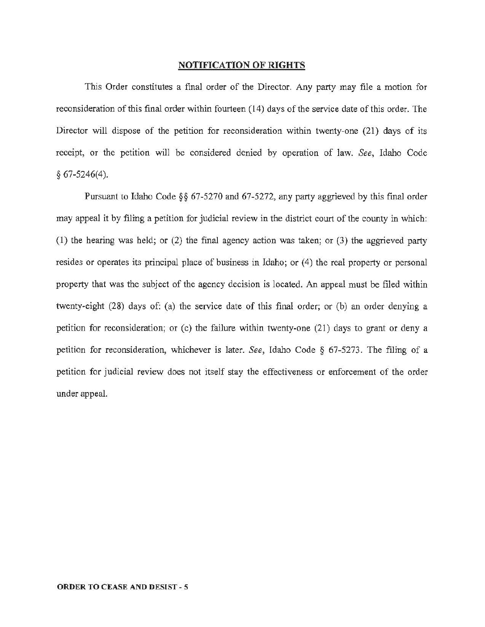### NOTIFICATION OF RIGHTS

This Order constitutes a final order of the Director. Any party may file a motion for reconsideration of this final order within fourteen (14) days of the service date of this order. The Director will dispose of the petition for reconsideration within twenty-one (21) days of its receipt, or the petition will be considered denied by operation of law. *See,* Idaho Code *§* 67·5246(4).

Pursuant to Idaho Code §§ 67-5270 and 67-5272, any party aggrieved by this final order may appeal it by filing a petition for judicial review in the district court of the county in which: ( 1) the hearing was held; or (2) the final agency action was taken; or (3) the aggrieved party resides or operates its principal place of business in Idaho; or (4) the real property or personal property that was the subject of the agency decision is located. An appeal must be filed within twenty-eight (28) days of: (a) the service date of this final order; or (b) an order denying a petition for reconsideration; or (c) the failure within twenty-one (21) days to grant or deny a petition for reconsideration, whichever is later. *See,* Idaho Code § 67-5273. The filing of a petition for judicial review does not itself stay the effectiveness or enforcement of the order under appeal.